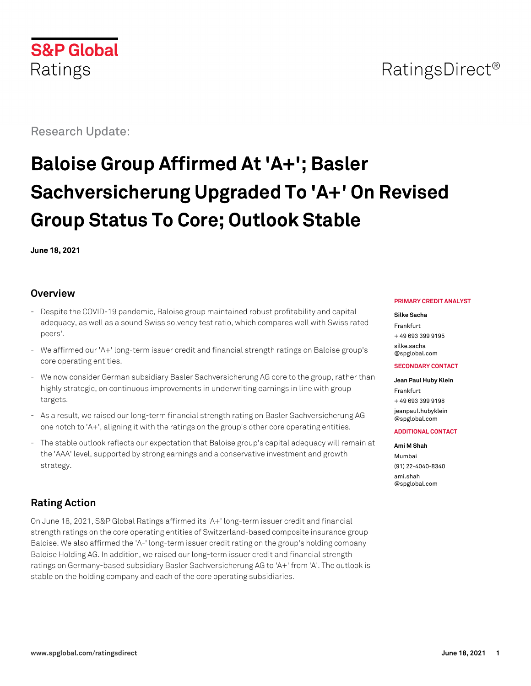

# RatingsDirect<sup>®</sup>

Research Update:

# **Baloise Group Affirmed At 'A+'; Basler Sachversicherung Upgraded To 'A+' On Revised Group Status To Core; Outlook Stable**

**June 18, 2021**

## **Overview**

- Despite the COVID-19 pandemic, Baloise group maintained robust profitability and capital adequacy, as well as a sound Swiss solvency test ratio, which compares well with Swiss rated peers'.
- We affirmed our 'A+' long-term issuer credit and financial strength ratings on Baloise group's core operating entities.
- We now consider German subsidiary Basler Sachversicherung AG core to the group, rather than highly strategic, on continuous improvements in underwriting earnings in line with group targets.
- As a result, we raised our long-term financial strength rating on Basler Sachversicherung AG one notch to 'A+', aligning it with the ratings on the group's other core operating entities.
- The stable outlook reflects our expectation that Baloise group's capital adequacy will remain at the 'AAA' level, supported by strong earnings and a conservative investment and growth strategy.

# **Rating Action**

On June 18, 2021, S&P Global Ratings affirmed its 'A+' long-term issuer credit and financial strength ratings on the core operating entities of Switzerland-based composite insurance group Baloise. We also affirmed the 'A-' long-term issuer credit rating on the group's holding company Baloise Holding AG. In addition, we raised our long-term issuer credit and financial strength ratings on Germany-based subsidiary Basler Sachversicherung AG to 'A+' from 'A'. The outlook is stable on the holding company and each of the core operating subsidiaries.

#### **PRIMARY CREDIT ANALYST**

#### **Silke Sacha** Frankfurt + 49 693 399 9195

[silke.sacha](mailto:silke.sacha@spglobal.com) [@spglobal.com](mailto:silke.sacha@spglobal.com)

#### **SECONDARY CONTACT**

**Jean Paul Huby Klein** Frankfurt + 49 693 399 9198 [jeanpaul.hubyklein](mailto:jeanpaul.hubyklein@spglobal.com) [@spglobal.com](mailto:jeanpaul.hubyklein@spglobal.com)

#### **ADDITIONAL CONTACT**

**Ami M Shah** Mumbai (91) 22-4040-8340 [ami.shah](mailto:ami.shah@spglobal.com) [@spglobal.com](mailto:ami.shah@spglobal.com)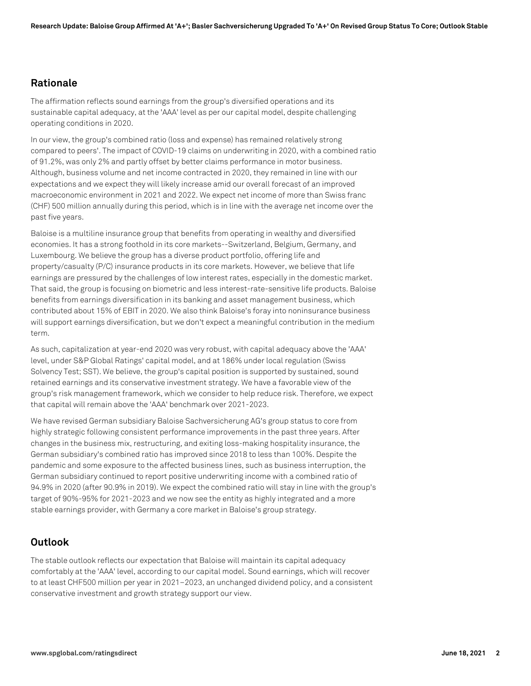## **Rationale**

The affirmation reflects sound earnings from the group's diversified operations and its sustainable capital adequacy, at the 'AAA' level as per our capital model, despite challenging operating conditions in 2020.

In our view, the group's combined ratio (loss and expense) has remained relatively strong compared to peers'. The impact of COVID-19 claims on underwriting in 2020, with a combined ratio of 91.2%, was only 2% and partly offset by better claims performance in motor business. Although, business volume and net income contracted in 2020, they remained in line with our expectations and we expect they will likely increase amid our overall forecast of an improved macroeconomic environment in 2021 and 2022. We expect net income of more than Swiss franc (CHF) 500 million annually during this period, which is in line with the average net income over the past five years.

Baloise is a multiline insurance group that benefits from operating in wealthy and diversified economies. It has a strong foothold in its core markets--Switzerland, Belgium, Germany, and Luxembourg. We believe the group has a diverse product portfolio, offering life and property/casualty (P/C) insurance products in its core markets. However, we believe that life earnings are pressured by the challenges of low interest rates, especially in the domestic market. That said, the group is focusing on biometric and less interest-rate-sensitive life products. Baloise benefits from earnings diversification in its banking and asset management business, which contributed about 15% of EBIT in 2020. We also think Baloise's foray into noninsurance business will support earnings diversification, but we don't expect a meaningful contribution in the medium term.

As such, capitalization at year-end 2020 was very robust, with capital adequacy above the 'AAA' level, under S&P Global Ratings' capital model, and at 186% under local regulation (Swiss Solvency Test; SST). We believe, the group's capital position is supported by sustained, sound retained earnings and its conservative investment strategy. We have a favorable view of the group's risk management framework, which we consider to help reduce risk. Therefore, we expect that capital will remain above the 'AAA' benchmark over 2021-2023.

We have revised German subsidiary Baloise Sachversicherung AG's group status to core from highly strategic following consistent performance improvements in the past three years. After changes in the business mix, restructuring, and exiting loss-making hospitality insurance, the German subsidiary's combined ratio has improved since 2018 to less than 100%. Despite the pandemic and some exposure to the affected business lines, such as business interruption, the German subsidiary continued to report positive underwriting income with a combined ratio of 94.9% in 2020 (after 90.9% in 2019). We expect the combined ratio will stay in line with the group's target of 90%-95% for 2021-2023 and we now see the entity as highly integrated and a more stable earnings provider, with Germany a core market in Baloise's group strategy.

## **Outlook**

The stable outlook reflects our expectation that Baloise will maintain its capital adequacy comfortably at the 'AAA' level, according to our capital model. Sound earnings, which will recover to at least CHF500 million per year in 2021–2023, an unchanged dividend policy, and a consistent conservative investment and growth strategy support our view.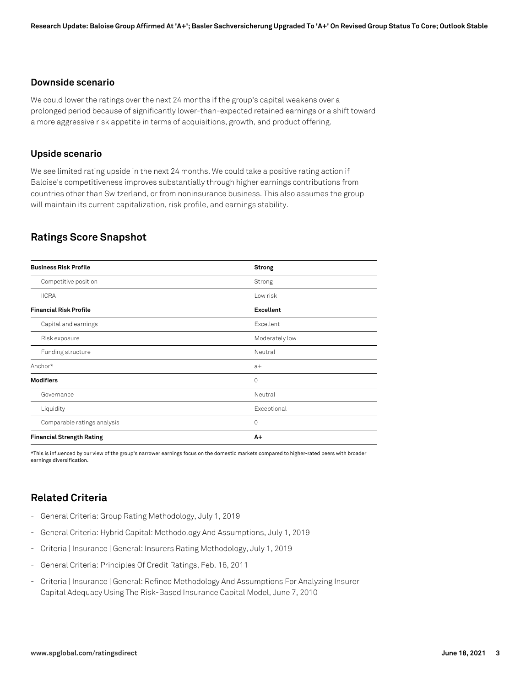#### **Downside scenario**

We could lower the ratings over the next 24 months if the group's capital weakens over a prolonged period because of significantly lower-than-expected retained earnings or a shift toward a more aggressive risk appetite in terms of acquisitions, growth, and product offering.

#### **Upside scenario**

We see limited rating upside in the next 24 months. We could take a positive rating action if Baloise's competitiveness improves substantially through higher earnings contributions from countries other than Switzerland, or from noninsurance business. This also assumes the group will maintain its current capitalization, risk profile, and earnings stability.

# **Ratings Score Snapshot**

| <b>Business Risk Profile</b>     | Strong           |  |
|----------------------------------|------------------|--|
| Competitive position             | Strong           |  |
| <b>IICRA</b>                     | Low risk         |  |
| <b>Financial Risk Profile</b>    | <b>Excellent</b> |  |
| Capital and earnings             | Excellent        |  |
| Risk exposure                    | Moderately low   |  |
| Funding structure                | Neutral          |  |
| Anchor*                          | $a+$             |  |
| <b>Modifiers</b>                 | $\mathbf 0$      |  |
| Governance                       | Neutral          |  |
| Liquidity                        | Exceptional      |  |
| Comparable ratings analysis      | 0                |  |
| <b>Financial Strength Rating</b> | A+               |  |

\*This is influenced by our view of the group's narrower earnings focus on the domestic markets compared to higher-rated peers with broader earnings diversification.

# **Related Criteria**

- General Criteria: Group Rating Methodology, July 1, 2019
- General Criteria: Hybrid Capital: Methodology And Assumptions, July 1, 2019
- Criteria | Insurance | General: Insurers Rating Methodology, July 1, 2019
- General Criteria: Principles Of Credit Ratings, Feb. 16, 2011
- Criteria | Insurance | General: Refined Methodology And Assumptions For Analyzing Insurer Capital Adequacy Using The Risk-Based Insurance Capital Model, June 7, 2010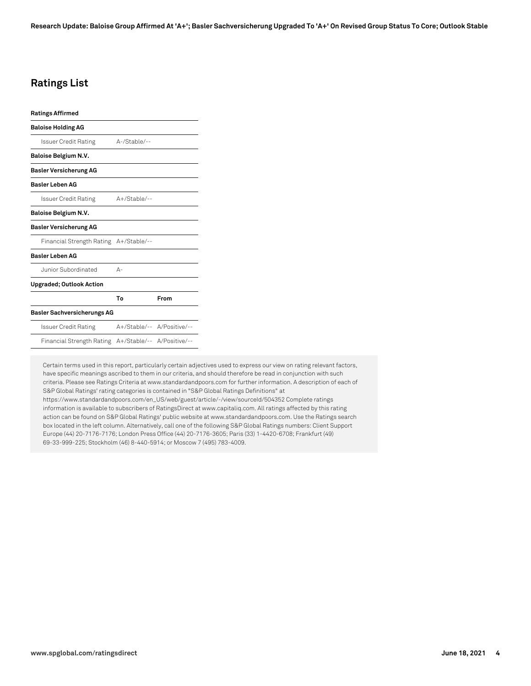# **Ratings List**

| <b>Ratings Affirmed</b>            |                            |      |
|------------------------------------|----------------------------|------|
| <b>Baloise Holding AG</b>          |                            |      |
| Issuer Credit Rating               | $A$ -/Stable/--            |      |
| <b>Baloise Belgium N.V.</b>        |                            |      |
| <b>Basler Versicherung AG</b>      |                            |      |
| <b>Basler Leben AG</b>             |                            |      |
| Issuer Credit Rating               | $A+$ /Stable/--            |      |
| <b>Baloise Belgium N.V.</b>        |                            |      |
| <b>Basler Versicherung AG</b>      |                            |      |
| Financial Strength Rating          | A+/Stable/--               |      |
| <b>Basler Leben AG</b>             |                            |      |
| Junior Subordinated                | А-                         |      |
| <b>Upgraded; Outlook Action</b>    |                            |      |
|                                    | To                         | From |
| <b>Basler Sachversicherungs AG</b> |                            |      |
| Issuer Credit Rating               | A+/Stable/-- A/Positive/-- |      |
| Financial Strength Rating          | A+/Stable/-- A/Positive/-- |      |
|                                    |                            |      |

Certain terms used in this report, particularly certain adjectives used to express our view on rating relevant factors, have specific meanings ascribed to them in our criteria, and should therefore be read in conjunction with such criteria. Please see Ratings Criteria at www.standardandpoors.com for further information. A description of each of S&P Global Ratings' rating categories is contained in "S&P Global Ratings Definitions" at https://www.standardandpoors.com/en\_US/web/guest/article/-/view/sourceId/504352 Complete ratings information is available to subscribers of RatingsDirect at www.capitaliq.com. All ratings affected by this rating action can be found on S&P Global Ratings' public website at www.standardandpoors.com. Use the Ratings search box located in the left column. Alternatively, call one of the following S&P Global Ratings numbers: Client Support Europe (44) 20-7176-7176; London Press Office (44) 20-7176-3605; Paris (33) 1-4420-6708; Frankfurt (49) 69-33-999-225; Stockholm (46) 8-440-5914; or Moscow 7 (495) 783-4009.